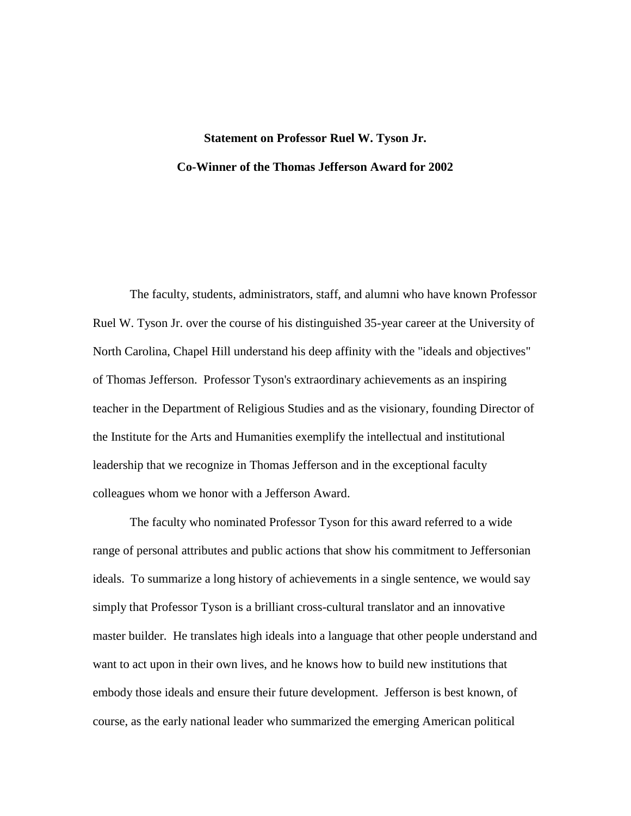## **Statement on Professor Ruel W. Tyson Jr. Co-Winner of the Thomas Jefferson Award for 2002**

The faculty, students, administrators, staff, and alumni who have known Professor Ruel W. Tyson Jr. over the course of his distinguished 35-year career at the University of North Carolina, Chapel Hill understand his deep affinity with the "ideals and objectives" of Thomas Jefferson. Professor Tyson's extraordinary achievements as an inspiring teacher in the Department of Religious Studies and as the visionary, founding Director of the Institute for the Arts and Humanities exemplify the intellectual and institutional leadership that we recognize in Thomas Jefferson and in the exceptional faculty colleagues whom we honor with a Jefferson Award.

The faculty who nominated Professor Tyson for this award referred to a wide range of personal attributes and public actions that show his commitment to Jeffersonian ideals. To summarize a long history of achievements in a single sentence, we would say simply that Professor Tyson is a brilliant cross-cultural translator and an innovative master builder. He translates high ideals into a language that other people understand and want to act upon in their own lives, and he knows how to build new institutions that embody those ideals and ensure their future development. Jefferson is best known, of course, as the early national leader who summarized the emerging American political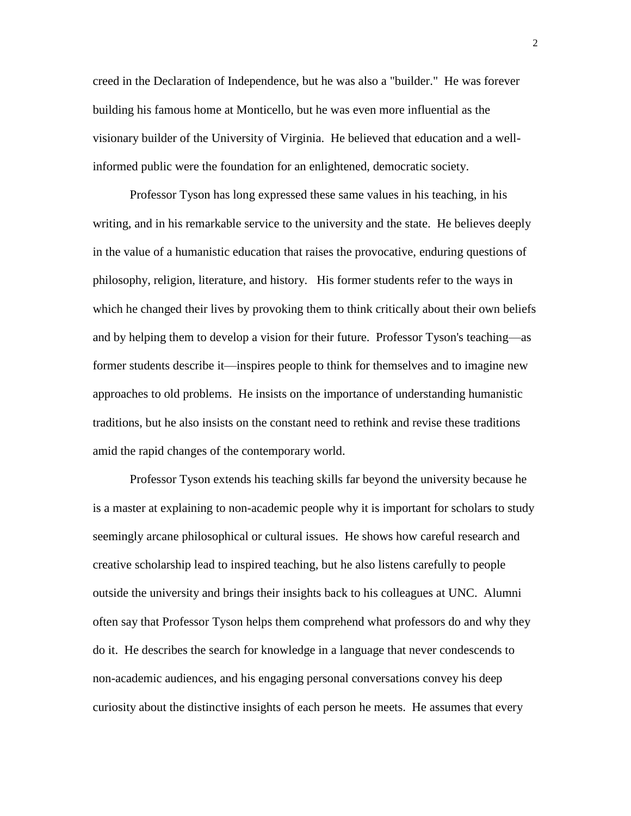creed in the Declaration of Independence, but he was also a "builder." He was forever building his famous home at Monticello, but he was even more influential as the visionary builder of the University of Virginia. He believed that education and a wellinformed public were the foundation for an enlightened, democratic society.

Professor Tyson has long expressed these same values in his teaching, in his writing, and in his remarkable service to the university and the state. He believes deeply in the value of a humanistic education that raises the provocative, enduring questions of philosophy, religion, literature, and history. His former students refer to the ways in which he changed their lives by provoking them to think critically about their own beliefs and by helping them to develop a vision for their future. Professor Tyson's teaching—as former students describe it—inspires people to think for themselves and to imagine new approaches to old problems. He insists on the importance of understanding humanistic traditions, but he also insists on the constant need to rethink and revise these traditions amid the rapid changes of the contemporary world.

Professor Tyson extends his teaching skills far beyond the university because he is a master at explaining to non-academic people why it is important for scholars to study seemingly arcane philosophical or cultural issues. He shows how careful research and creative scholarship lead to inspired teaching, but he also listens carefully to people outside the university and brings their insights back to his colleagues at UNC. Alumni often say that Professor Tyson helps them comprehend what professors do and why they do it. He describes the search for knowledge in a language that never condescends to non-academic audiences, and his engaging personal conversations convey his deep curiosity about the distinctive insights of each person he meets. He assumes that every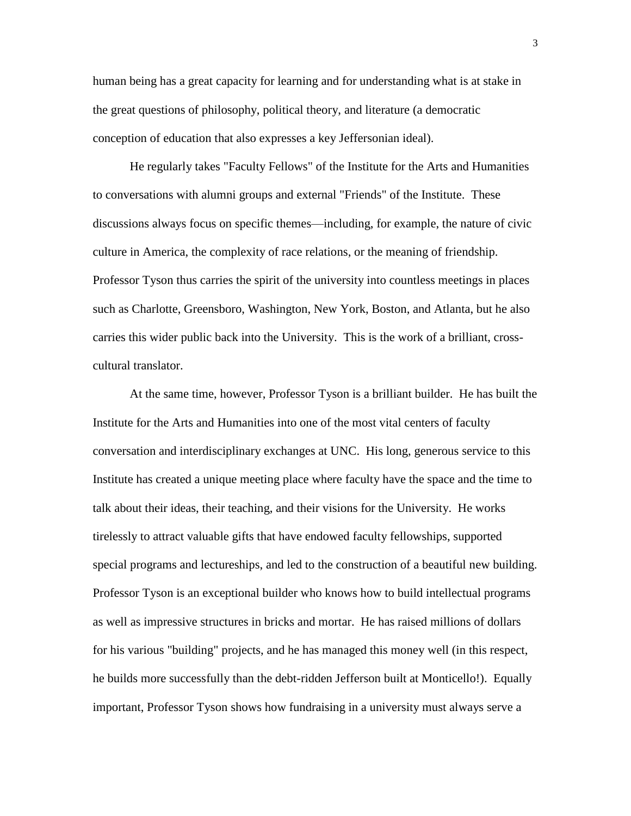human being has a great capacity for learning and for understanding what is at stake in the great questions of philosophy, political theory, and literature (a democratic conception of education that also expresses a key Jeffersonian ideal).

He regularly takes "Faculty Fellows" of the Institute for the Arts and Humanities to conversations with alumni groups and external "Friends" of the Institute. These discussions always focus on specific themes—including, for example, the nature of civic culture in America, the complexity of race relations, or the meaning of friendship. Professor Tyson thus carries the spirit of the university into countless meetings in places such as Charlotte, Greensboro, Washington, New York, Boston, and Atlanta, but he also carries this wider public back into the University. This is the work of a brilliant, crosscultural translator.

At the same time, however, Professor Tyson is a brilliant builder. He has built the Institute for the Arts and Humanities into one of the most vital centers of faculty conversation and interdisciplinary exchanges at UNC. His long, generous service to this Institute has created a unique meeting place where faculty have the space and the time to talk about their ideas, their teaching, and their visions for the University. He works tirelessly to attract valuable gifts that have endowed faculty fellowships, supported special programs and lectureships, and led to the construction of a beautiful new building. Professor Tyson is an exceptional builder who knows how to build intellectual programs as well as impressive structures in bricks and mortar. He has raised millions of dollars for his various "building" projects, and he has managed this money well (in this respect, he builds more successfully than the debt-ridden Jefferson built at Monticello!). Equally important, Professor Tyson shows how fundraising in a university must always serve a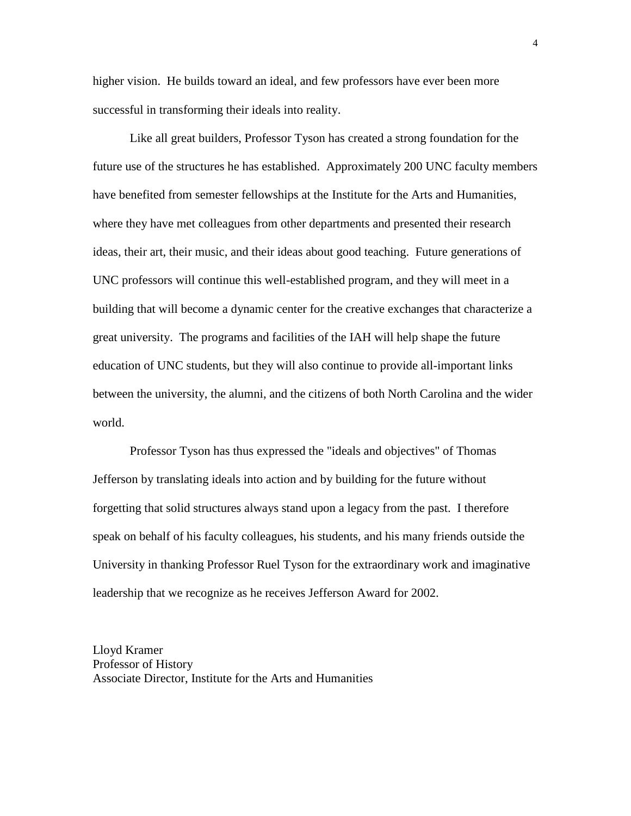higher vision. He builds toward an ideal, and few professors have ever been more successful in transforming their ideals into reality.

Like all great builders, Professor Tyson has created a strong foundation for the future use of the structures he has established. Approximately 200 UNC faculty members have benefited from semester fellowships at the Institute for the Arts and Humanities, where they have met colleagues from other departments and presented their research ideas, their art, their music, and their ideas about good teaching. Future generations of UNC professors will continue this well-established program, and they will meet in a building that will become a dynamic center for the creative exchanges that characterize a great university. The programs and facilities of the IAH will help shape the future education of UNC students, but they will also continue to provide all-important links between the university, the alumni, and the citizens of both North Carolina and the wider world.

Professor Tyson has thus expressed the "ideals and objectives" of Thomas Jefferson by translating ideals into action and by building for the future without forgetting that solid structures always stand upon a legacy from the past. I therefore speak on behalf of his faculty colleagues, his students, and his many friends outside the University in thanking Professor Ruel Tyson for the extraordinary work and imaginative leadership that we recognize as he receives Jefferson Award for 2002.

Lloyd Kramer Professor of History Associate Director, Institute for the Arts and Humanities 4